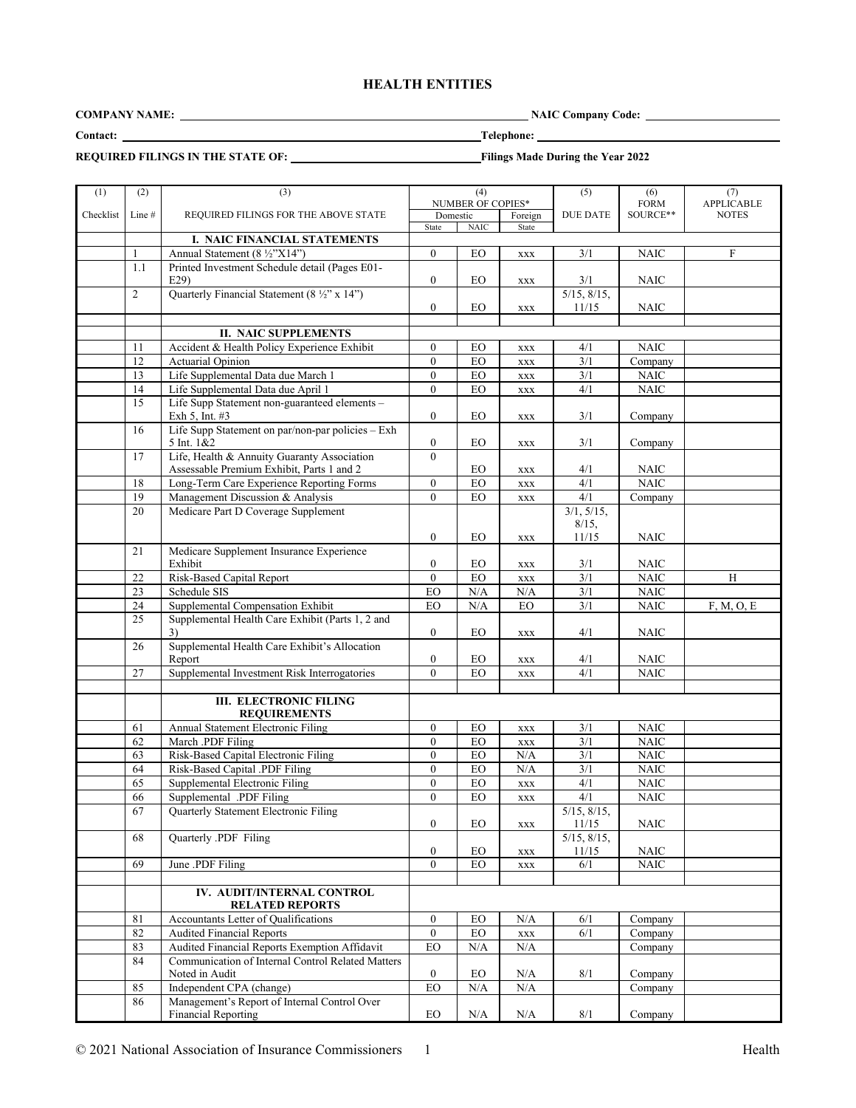# **HEALTH ENTITIES**

**COMPANY NAME:** NAIC Company Code: NAIC Company Code:

<u> 1990 - Johann Barbara, martin a</u>

**Contact: Telephone:** 

# **REQUIRED FILINGS IN THE STATE OF:** Filings Made During the Year 2022

| (1)       | (2)    | (3)                                                                        |                  | (4)               |                             | (5)              | (6)                      | (7)          |
|-----------|--------|----------------------------------------------------------------------------|------------------|-------------------|-----------------------------|------------------|--------------------------|--------------|
|           |        |                                                                            |                  | NUMBER OF COPIES* |                             |                  | $F\ddot{ORM}$            | APPLICABLE   |
| Checklist | Line # | REQUIRED FILINGS FOR THE ABOVE STATE                                       | Domestic         |                   | Foreign                     | <b>DUE DATE</b>  | SOURCE**                 | <b>NOTES</b> |
|           |        |                                                                            | State            | $\rm NAIC$        | State                       |                  |                          |              |
|           |        | I. NAIC FINANCIAL STATEMENTS                                               |                  |                   |                             |                  |                          |              |
|           | 1      | Annual Statement (8 ½"X14")                                                | $\overline{0}$   | EO                | $\mathbf{XXX}$              | 3/1              | <b>NAIC</b>              | $\mathbf F$  |
|           | 1.1    | Printed Investment Schedule detail (Pages E01-<br>E29                      | $\boldsymbol{0}$ | EO                | $\mathbf{XXX}$              | 3/1              | <b>NAIC</b>              |              |
|           | 2      | Quarterly Financial Statement (8 ½" x 14")                                 |                  |                   |                             | 5/15, 8/15,      |                          |              |
|           |        |                                                                            | $\boldsymbol{0}$ | EO                | $\boldsymbol{\mathsf{XXX}}$ | 11/15            | NAIC                     |              |
|           |        |                                                                            |                  |                   |                             |                  |                          |              |
|           | 11     | <b>II. NAIC SUPPLEMENTS</b><br>Accident & Health Policy Experience Exhibit | $\mathbf{0}$     | EO                |                             | 4/1              | <b>NAIC</b>              |              |
|           | 12     | <b>Actuarial Opinion</b>                                                   | $\overline{0}$   | $EO$              | $\mathbf{XXX}$              | 3/1              | Company                  |              |
|           | 13     | Life Supplemental Data due March 1                                         | $\boldsymbol{0}$ |                   | $\mathbf{XXX}$              |                  |                          |              |
|           | 14     | Life Supplemental Data due April 1                                         | $\mathbf{0}$     | ${\rm EO}$<br>EO  | <b>XXX</b>                  | 3/1<br>4/1       | $\rm NAIC$<br>$\rm NAIC$ |              |
|           | 15     |                                                                            |                  |                   | <b>XXX</b>                  |                  |                          |              |
|           |        | Life Supp Statement non-guaranteed elements -<br>Exh 5, Int. #3            | $\boldsymbol{0}$ | EО                | <b>XXX</b>                  | 3/1              | Company                  |              |
|           | 16     | Life Supp Statement on par/non-par policies - Exh<br>5 Int. 1&2            | $\boldsymbol{0}$ | EO                | XXX                         | 3/1              | Company                  |              |
|           | 17     | Life, Health & Annuity Guaranty Association                                | $\Omega$         |                   |                             |                  |                          |              |
|           |        | Assessable Premium Exhibit, Parts 1 and 2                                  |                  | EO                | <b>XXX</b>                  | 4/1              | NAIC                     |              |
|           | 18     | Long-Term Care Experience Reporting Forms                                  | $\boldsymbol{0}$ | EO                | $\mathbf{XXX}$              | 4/1              | <b>NAIC</b>              |              |
|           | 19     | Management Discussion & Analysis                                           | $\mathbf{0}$     | EO                | <b>XXX</b>                  | 4/1              | Company                  |              |
|           | 20     | Medicare Part D Coverage Supplement                                        |                  |                   |                             | 3/1, 5/15,       |                          |              |
|           |        |                                                                            |                  |                   |                             | 8/15,            |                          |              |
|           |        |                                                                            | $\boldsymbol{0}$ | ${\rm EO}$        | <b>XXX</b>                  | 11/15            | <b>NAIC</b>              |              |
|           | 21     | Medicare Supplement Insurance Experience<br>Exhibit                        | $\boldsymbol{0}$ | EO                | $\mathbf{XXX}$              | 3/1              | <b>NAIC</b>              |              |
|           | 22     | Risk-Based Capital Report                                                  | $\mathbf{0}$     | EO                | $\mathbf{XXX}$              | 3/1              | <b>NAIC</b>              | H            |
|           | 23     | Schedule SIS                                                               | EO               | N/A               | N/A                         | $3/1$            | $\rm NAIC$               |              |
|           | 24     | Supplemental Compensation Exhibit                                          | EO               | $\rm N/A$         | EO                          | 3/1              | <b>NAIC</b>              | F, M, O, E   |
|           | 25     | Supplemental Health Care Exhibit (Parts 1, 2 and                           |                  |                   |                             |                  |                          |              |
|           |        | 3)                                                                         | $\mathbf{0}$     | EО                | <b>XXX</b>                  | 4/1              | <b>NAIC</b>              |              |
|           | 26     | Supplemental Health Care Exhibit's Allocation                              |                  |                   |                             |                  |                          |              |
|           |        | Report                                                                     | $\boldsymbol{0}$ | EO                | <b>XXX</b>                  | 4/1              | <b>NAIC</b>              |              |
|           | 27     | Supplemental Investment Risk Interrogatories                               | $\mathbf{0}$     | EO                | $\mathbf{XXX}$              | 4/1              | <b>NAIC</b>              |              |
|           |        |                                                                            |                  |                   |                             |                  |                          |              |
|           |        | <b>III. ELECTRONIC FILING</b><br><b>REQUIREMENTS</b>                       |                  |                   |                             |                  |                          |              |
|           | 61     | Annual Statement Electronic Filing                                         | $\boldsymbol{0}$ | EO                | <b>XXX</b>                  | 3/1              | NAIC                     |              |
|           | 62     | March .PDF Filing                                                          | $\boldsymbol{0}$ | <b>EO</b>         | $\mathbf{XXX}$              | 3/1              | $\rm NAIC$               |              |
|           | 63     | Risk-Based Capital Electronic Filing                                       | $\boldsymbol{0}$ | $EO$              | N/A                         | 3/1              | <b>NAIC</b>              |              |
|           | 64     | Risk-Based Capital .PDF Filing                                             | $\boldsymbol{0}$ | ${\rm EO}$        | $\rm N/A$                   | $\overline{3/1}$ | <b>NAIC</b>              |              |
|           | 65     | Supplemental Electronic Filing                                             | $\boldsymbol{0}$ | ${\rm EO}$        | XXX                         | 4/1              | $\rm NAIC$               |              |
|           | 66     | Supplemental .PDF Filing                                                   | $\overline{0}$   | EO                | <b>XXX</b>                  | 4/1              | $\rm NAIC$               |              |
|           | 67     | Quarterly Statement Electronic Filing                                      |                  |                   |                             | 5/15, 8/15,      |                          |              |
|           |        |                                                                            | $\boldsymbol{0}$ | EO                | $\boldsymbol{\mathsf{XXX}}$ | 11/15            | <b>NAIC</b>              |              |
|           | 68     | Quarterly .PDF Filing                                                      |                  |                   |                             | 5/15, 8/15,      |                          |              |
|           |        |                                                                            | $\boldsymbol{0}$ | EO                | XXX                         | 11/15            | NAIC                     |              |
|           | 69     | June .PDF Filing                                                           | $\mathbf{0}$     | EO                | <b>XXX</b>                  | 6/1              | $\rm NAIC$               |              |
|           |        |                                                                            |                  |                   |                             |                  |                          |              |
|           |        | IV. AUDIT/INTERNAL CONTROL<br><b>RELATED REPORTS</b>                       |                  |                   |                             |                  |                          |              |
|           | 81     | <b>Accountants Letter of Qualifications</b>                                | $\boldsymbol{0}$ | EO                | N/A                         | 6/1              | Company                  |              |
|           | 82     | <b>Audited Financial Reports</b>                                           | $\mathbf{0}$     | ${\rm EO}$        | $\mathbf{XXX}$              | 6/1              | Company                  |              |
|           | 83     | Audited Financial Reports Exemption Affidavit                              | ${\rm EO}$       | N/A               | $\rm N/A$                   |                  | Company                  |              |
|           | 84     | Communication of Internal Control Related Matters                          |                  |                   |                             |                  |                          |              |
|           |        | Noted in Audit                                                             | $\boldsymbol{0}$ | EO                | N/A                         | 8/1              | Company                  |              |
|           | 85     | Independent CPA (change)                                                   | EO               | $\rm N/A$         | $\rm N/A$                   |                  | Company                  |              |
|           | 86     | Management's Report of Internal Control Over                               |                  |                   |                             |                  |                          |              |
|           |        | <b>Financial Reporting</b>                                                 | ${\rm EO}$       | $\rm N/A$         | $\rm N/A$                   | $8/1\,$          | Company                  |              |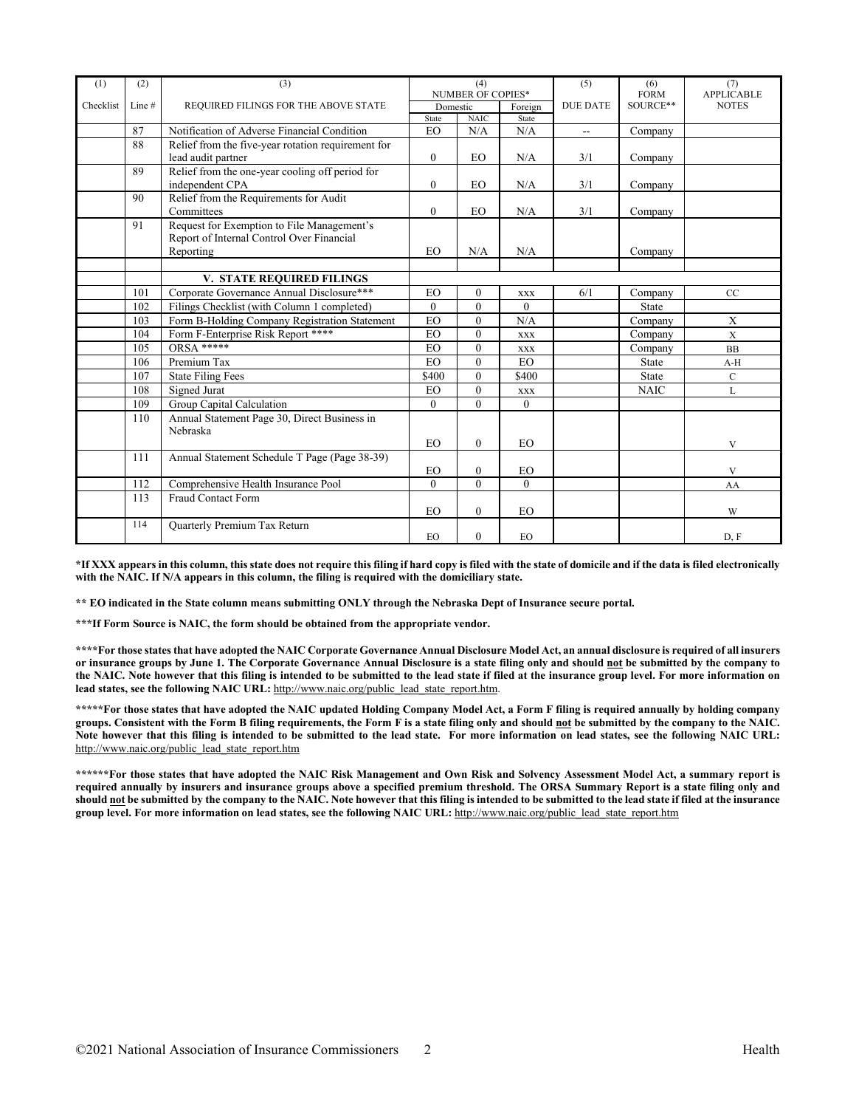| (1)       | (2)    | (3)                                                | (4)                      |              | (5)        | (6)             | (7)               |              |
|-----------|--------|----------------------------------------------------|--------------------------|--------------|------------|-----------------|-------------------|--------------|
|           |        |                                                    | <b>NUMBER OF COPIES*</b> |              |            | <b>FORM</b>     | <b>APPLICABLE</b> |              |
| Checklist | Line # | REQUIRED FILINGS FOR THE ABOVE STATE               | Domestic                 |              | Foreign    | <b>DUE DATE</b> | SOURCE**          | <b>NOTES</b> |
|           |        |                                                    | State                    | <b>NAIC</b>  | State      |                 |                   |              |
|           | 87     | Notification of Adverse Financial Condition        | EO.                      | N/A          | N/A        | $- -$           | Company           |              |
|           | 88     | Relief from the five-year rotation requirement for |                          |              |            |                 |                   |              |
|           |        | lead audit partner                                 | $\overline{0}$           | EO           | N/A        | 3/1             | Company           |              |
|           | 89     | Relief from the one-year cooling off period for    |                          |              |            |                 |                   |              |
|           |        | independent CPA                                    | $\boldsymbol{0}$         | EO           | N/A        | 3/1             | Company           |              |
|           | 90     | Relief from the Requirements for Audit             |                          |              |            |                 |                   |              |
|           |        | Committees                                         | $\overline{0}$           | EO           | N/A        | 3/1             | Company           |              |
|           | 91     | Request for Exemption to File Management's         |                          |              |            |                 |                   |              |
|           |        | Report of Internal Control Over Financial          |                          |              |            |                 |                   |              |
|           |        | Reporting                                          | <b>EO</b>                | N/A          | N/A        |                 | Company           |              |
|           |        |                                                    |                          |              |            |                 |                   |              |
|           |        | V. STATE REQUIRED FILINGS                          |                          |              |            |                 |                   |              |
|           | 101    | Corporate Governance Annual Disclosure***          | <b>EO</b>                | $\theta$     | <b>XXX</b> | 6/1             | Company           | CC           |
|           | 102    | Filings Checklist (with Column 1 completed)        | $\theta$                 | $\theta$     | $\Omega$   |                 | <b>State</b>      |              |
|           | 103    | Form B-Holding Company Registration Statement      | EO                       | $\theta$     | N/A        |                 | Company           | X            |
|           | 104    | Form F-Enterprise Risk Report ****                 | <b>EO</b>                | $\theta$     | <b>XXX</b> |                 | Company           | $\mathbf X$  |
|           | 105    | $ORSA$ *****                                       | <b>EO</b>                | $\theta$     | <b>XXX</b> |                 | Company           | <b>BB</b>    |
|           | 106    | Premium Tax                                        | EO                       | $\mathbf{0}$ | <b>EO</b>  |                 | State             | $A-H$        |
|           | 107    | <b>State Filing Fees</b>                           | \$400                    | $\theta$     | \$400      |                 | <b>State</b>      | $\mathbf C$  |
|           | 108    | Signed Jurat                                       | <b>EO</b>                | $\mathbf{0}$ | <b>XXX</b> |                 | <b>NAIC</b>       | L            |
|           | 109    | Group Capital Calculation                          | $\theta$                 | $\theta$     | $\theta$   |                 |                   |              |
|           | 110    | Annual Statement Page 30, Direct Business in       |                          |              |            |                 |                   |              |
|           |        | Nebraska                                           |                          |              |            |                 |                   |              |
|           |        |                                                    | <b>EO</b>                | $\Omega$     | EO.        |                 |                   | $\mathbf{V}$ |
|           | 111    | Annual Statement Schedule T Page (Page 38-39)      |                          |              |            |                 |                   |              |
|           |        |                                                    | EO                       | $\mathbf{0}$ | <b>EO</b>  |                 |                   | V            |
|           | 112    | Comprehensive Health Insurance Pool                | $\overline{0}$           | $\mathbf{0}$ | $\theta$   |                 |                   | AA           |
|           | 113    | <b>Fraud Contact Form</b>                          |                          |              |            |                 |                   |              |
|           |        |                                                    | <b>EO</b>                | $\mathbf{0}$ | <b>EO</b>  |                 |                   | W            |
|           | 114    | <b>Ouarterly Premium Tax Return</b>                |                          |              |            |                 |                   |              |
|           |        |                                                    | EO                       | $\mathbf{0}$ | EO         |                 |                   | D, F         |

**\*If XXX appears in this column, this state does not require this filing if hard copy is filed with the state of domicile and if the data is filed electronically with the NAIC. If N/A appears in this column, the filing is required with the domiciliary state.** 

**\*\* EO indicated in the State column means submitting ONLY through the Nebraska Dept of Insurance secure portal.**

**\*\*\*If Form Source is NAIC, the form should be obtained from the appropriate vendor.** 

**\*\*\*\*For those states that have adopted the NAIC Corporate Governance Annual Disclosure Model Act, an annual disclosure is required of all insurers or insurance groups by June 1. The Corporate Governance Annual Disclosure is a state filing only and should not be submitted by the company to the NAIC. Note however that this filing is intended to be submitted to the lead state if filed at the insurance group level. For more information on**  lead states, see the following NAIC URL: [http://www.naic.org/public\\_lead\\_state\\_report.htm.](http://www.naic.org/public_lead_state_report.htm)

**\*\*\*\*\*For those states that have adopted the NAIC updated Holding Company Model Act, a Form F filing is required annually by holding company groups. Consistent with the Form B filing requirements, the Form F is a state filing only and should not be submitted by the company to the NAIC. Note however that this filing is intended to be submitted to the lead state. For more information on lead states, see the following NAIC URL:**  [http://www.naic.org/public\\_lead\\_state\\_report.htm](http://www.naic.org/public_lead_state_report.htm)

**\*\*\*\*\*\*For those states that have adopted the NAIC Risk Management and Own Risk and Solvency Assessment Model Act, a summary report is required annually by insurers and insurance groups above a specified premium threshold. The ORSA Summary Report is a state filing only and should not be submitted by the company to the NAIC. Note however that this filing is intended to be submitted to the lead state if filed at the insurance group level. For more information on lead states, see the following NAIC URL:** [http://www.naic.org/public\\_lead\\_state\\_report.htm](http://www.naic.org/public_lead_state_report.htm)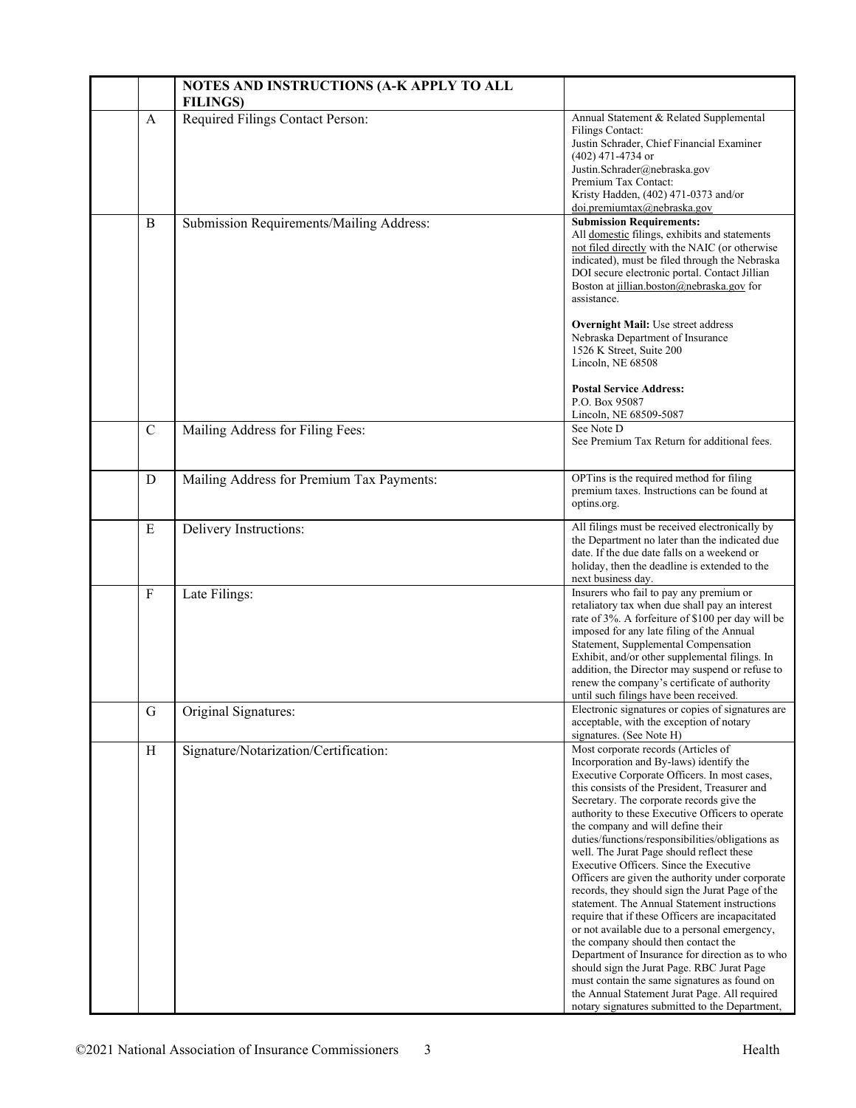|                | NOTES AND INSTRUCTIONS (A-K APPLY TO ALL<br><b>FILINGS)</b> |                                                                                                                                                                                                                                                                                                                                                                                                                                                                                                                                                                                                                                                                                                                                                                                                                                                                                                                                                                                                                          |
|----------------|-------------------------------------------------------------|--------------------------------------------------------------------------------------------------------------------------------------------------------------------------------------------------------------------------------------------------------------------------------------------------------------------------------------------------------------------------------------------------------------------------------------------------------------------------------------------------------------------------------------------------------------------------------------------------------------------------------------------------------------------------------------------------------------------------------------------------------------------------------------------------------------------------------------------------------------------------------------------------------------------------------------------------------------------------------------------------------------------------|
| $\mathbf{A}$   | Required Filings Contact Person:                            | Annual Statement & Related Supplemental<br><b>Filings Contact:</b><br>Justin Schrader, Chief Financial Examiner<br>$(402)$ 471-4734 or<br>Justin.Schrader@nebraska.gov<br>Premium Tax Contact:<br>Kristy Hadden, (402) 471-0373 and/or<br>doi.premiumtax@nebraska.gov                                                                                                                                                                                                                                                                                                                                                                                                                                                                                                                                                                                                                                                                                                                                                    |
| B              | Submission Requirements/Mailing Address:                    | <b>Submission Requirements:</b><br>All domestic filings, exhibits and statements<br>not filed directly with the NAIC (or otherwise<br>indicated), must be filed through the Nebraska<br>DOI secure electronic portal. Contact Jillian<br>Boston at jillian.boston@nebraska.gov for<br>assistance.<br><b>Overnight Mail:</b> Use street address<br>Nebraska Department of Insurance<br>1526 K Street, Suite 200<br>Lincoln, NE 68508<br><b>Postal Service Address:</b>                                                                                                                                                                                                                                                                                                                                                                                                                                                                                                                                                    |
|                |                                                             | P.O. Box 95087<br>Lincoln, NE 68509-5087                                                                                                                                                                                                                                                                                                                                                                                                                                                                                                                                                                                                                                                                                                                                                                                                                                                                                                                                                                                 |
| $\mathbf C$    | Mailing Address for Filing Fees:                            | See Note D<br>See Premium Tax Return for additional fees.                                                                                                                                                                                                                                                                                                                                                                                                                                                                                                                                                                                                                                                                                                                                                                                                                                                                                                                                                                |
| D              | Mailing Address for Premium Tax Payments:                   | OPTins is the required method for filing<br>premium taxes. Instructions can be found at<br>optins.org.                                                                                                                                                                                                                                                                                                                                                                                                                                                                                                                                                                                                                                                                                                                                                                                                                                                                                                                   |
| E              | Delivery Instructions:                                      | All filings must be received electronically by<br>the Department no later than the indicated due<br>date. If the due date falls on a weekend or<br>holiday, then the deadline is extended to the<br>next business day.                                                                                                                                                                                                                                                                                                                                                                                                                                                                                                                                                                                                                                                                                                                                                                                                   |
| $\overline{F}$ | Late Filings:                                               | Insurers who fail to pay any premium or<br>retaliatory tax when due shall pay an interest<br>rate of 3%. A forfeiture of \$100 per day will be<br>imposed for any late filing of the Annual<br>Statement, Supplemental Compensation<br>Exhibit, and/or other supplemental filings. In<br>addition, the Director may suspend or refuse to<br>renew the company's certificate of authority<br>until such filings have been received.                                                                                                                                                                                                                                                                                                                                                                                                                                                                                                                                                                                       |
| G              | Original Signatures:                                        | Electronic signatures or copies of signatures are<br>acceptable, with the exception of notary<br>signatures. (See Note H)                                                                                                                                                                                                                                                                                                                                                                                                                                                                                                                                                                                                                                                                                                                                                                                                                                                                                                |
| H              | Signature/Notarization/Certification:                       | Most corporate records (Articles of<br>Incorporation and By-laws) identify the<br>Executive Corporate Officers. In most cases,<br>this consists of the President, Treasurer and<br>Secretary. The corporate records give the<br>authority to these Executive Officers to operate<br>the company and will define their<br>duties/functions/responsibilities/obligations as<br>well. The Jurat Page should reflect these<br>Executive Officers. Since the Executive<br>Officers are given the authority under corporate<br>records, they should sign the Jurat Page of the<br>statement. The Annual Statement instructions<br>require that if these Officers are incapacitated<br>or not available due to a personal emergency,<br>the company should then contact the<br>Department of Insurance for direction as to who<br>should sign the Jurat Page. RBC Jurat Page<br>must contain the same signatures as found on<br>the Annual Statement Jurat Page. All required<br>notary signatures submitted to the Department, |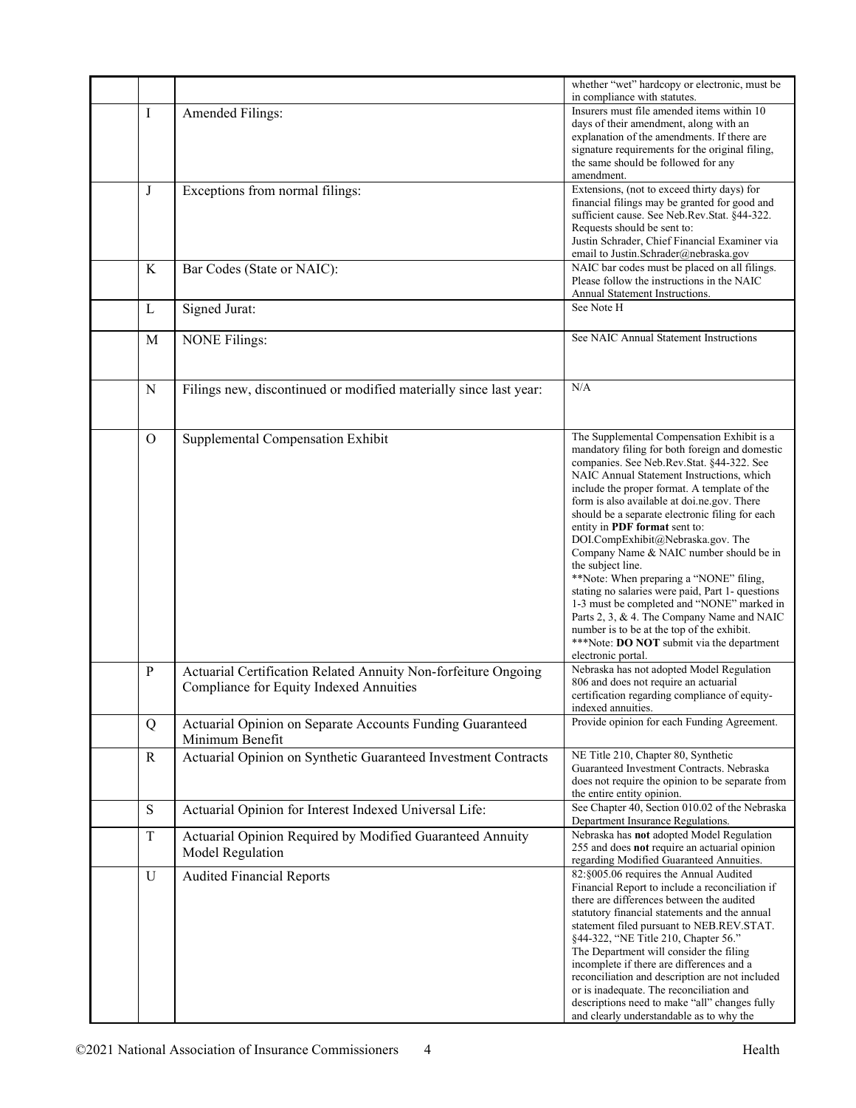|              |                                                                   | whether "wet" hardcopy or electronic, must be<br>in compliance with statutes.               |
|--------------|-------------------------------------------------------------------|---------------------------------------------------------------------------------------------|
| Ι            | Amended Filings:                                                  | Insurers must file amended items within 10                                                  |
|              |                                                                   | days of their amendment, along with an                                                      |
|              |                                                                   | explanation of the amendments. If there are                                                 |
|              |                                                                   | signature requirements for the original filing,                                             |
|              |                                                                   | the same should be followed for any                                                         |
| J            |                                                                   | amendment.<br>Extensions, (not to exceed thirty days) for                                   |
|              | Exceptions from normal filings:                                   | financial filings may be granted for good and                                               |
|              |                                                                   | sufficient cause. See Neb.Rev.Stat. §44-322.                                                |
|              |                                                                   | Requests should be sent to:                                                                 |
|              |                                                                   | Justin Schrader, Chief Financial Examiner via<br>email to Justin.Schrader@nebraska.gov      |
| $\rm K$      | Bar Codes (State or NAIC):                                        | NAIC bar codes must be placed on all filings.                                               |
|              |                                                                   | Please follow the instructions in the NAIC                                                  |
|              |                                                                   | Annual Statement Instructions.                                                              |
| L            | Signed Jurat:                                                     | See Note H                                                                                  |
|              |                                                                   |                                                                                             |
| M            | <b>NONE Filings:</b>                                              | See NAIC Annual Statement Instructions                                                      |
|              |                                                                   |                                                                                             |
|              |                                                                   |                                                                                             |
| N            | Filings new, discontinued or modified materially since last year: | N/A                                                                                         |
|              |                                                                   |                                                                                             |
|              |                                                                   |                                                                                             |
| $\Omega$     | Supplemental Compensation Exhibit                                 | The Supplemental Compensation Exhibit is a                                                  |
|              |                                                                   | mandatory filing for both foreign and domestic<br>companies. See Neb.Rev.Stat. §44-322. See |
|              |                                                                   | NAIC Annual Statement Instructions, which                                                   |
|              |                                                                   | include the proper format. A template of the                                                |
|              |                                                                   | form is also available at doi.ne.gov. There                                                 |
|              |                                                                   | should be a separate electronic filing for each                                             |
|              |                                                                   | entity in PDF format sent to:<br>DOI.CompExhibit@Nebraska.gov. The                          |
|              |                                                                   | Company Name & NAIC number should be in                                                     |
|              |                                                                   | the subject line.                                                                           |
|              |                                                                   | **Note: When preparing a "NONE" filing,                                                     |
|              |                                                                   | stating no salaries were paid, Part 1- questions                                            |
|              |                                                                   | 1-3 must be completed and "NONE" marked in<br>Parts 2, 3, & 4. The Company Name and NAIC    |
|              |                                                                   | number is to be at the top of the exhibit.                                                  |
|              |                                                                   | ***Note: DO NOT submit via the department                                                   |
|              |                                                                   | electronic portal.                                                                          |
| $\mathbf{P}$ | Actuarial Certification Related Annuity Non-forfeiture Ongoing    | Nebraska has not adopted Model Regulation                                                   |
|              | Compliance for Equity Indexed Annuities                           | 806 and does not require an actuarial<br>certification regarding compliance of equity-      |
|              |                                                                   | indexed annuities.                                                                          |
| Q            | Actuarial Opinion on Separate Accounts Funding Guaranteed         | Provide opinion for each Funding Agreement.                                                 |
|              | Minimum Benefit                                                   |                                                                                             |
| R            | Actuarial Opinion on Synthetic Guaranteed Investment Contracts    | NE Title 210, Chapter 80, Synthetic                                                         |
|              |                                                                   | Guaranteed Investment Contracts. Nebraska                                                   |
|              |                                                                   | does not require the opinion to be separate from                                            |
| ${\bf S}$    | Actuarial Opinion for Interest Indexed Universal Life:            | the entire entity opinion.<br>See Chapter 40, Section 010.02 of the Nebraska                |
|              |                                                                   | Department Insurance Regulations.                                                           |
| $\rm T$      | Actuarial Opinion Required by Modified Guaranteed Annuity         | Nebraska has not adopted Model Regulation                                                   |
|              | Model Regulation                                                  | 255 and does not require an actuarial opinion                                               |
|              |                                                                   | regarding Modified Guaranteed Annuities.<br>82:§005.06 requires the Annual Audited          |
| $\mathbf U$  | <b>Audited Financial Reports</b>                                  | Financial Report to include a reconciliation if                                             |
|              |                                                                   | there are differences between the audited                                                   |
|              |                                                                   | statutory financial statements and the annual                                               |
|              |                                                                   | statement filed pursuant to NEB.REV.STAT.                                                   |
|              |                                                                   | §44-322, "NE Title 210, Chapter 56."                                                        |
|              |                                                                   | The Department will consider the filing<br>incomplete if there are differences and a        |
|              |                                                                   | reconciliation and description are not included                                             |
|              |                                                                   | or is inadequate. The reconciliation and                                                    |
|              |                                                                   | descriptions need to make "all" changes fully                                               |
|              |                                                                   | and clearly understandable as to why the                                                    |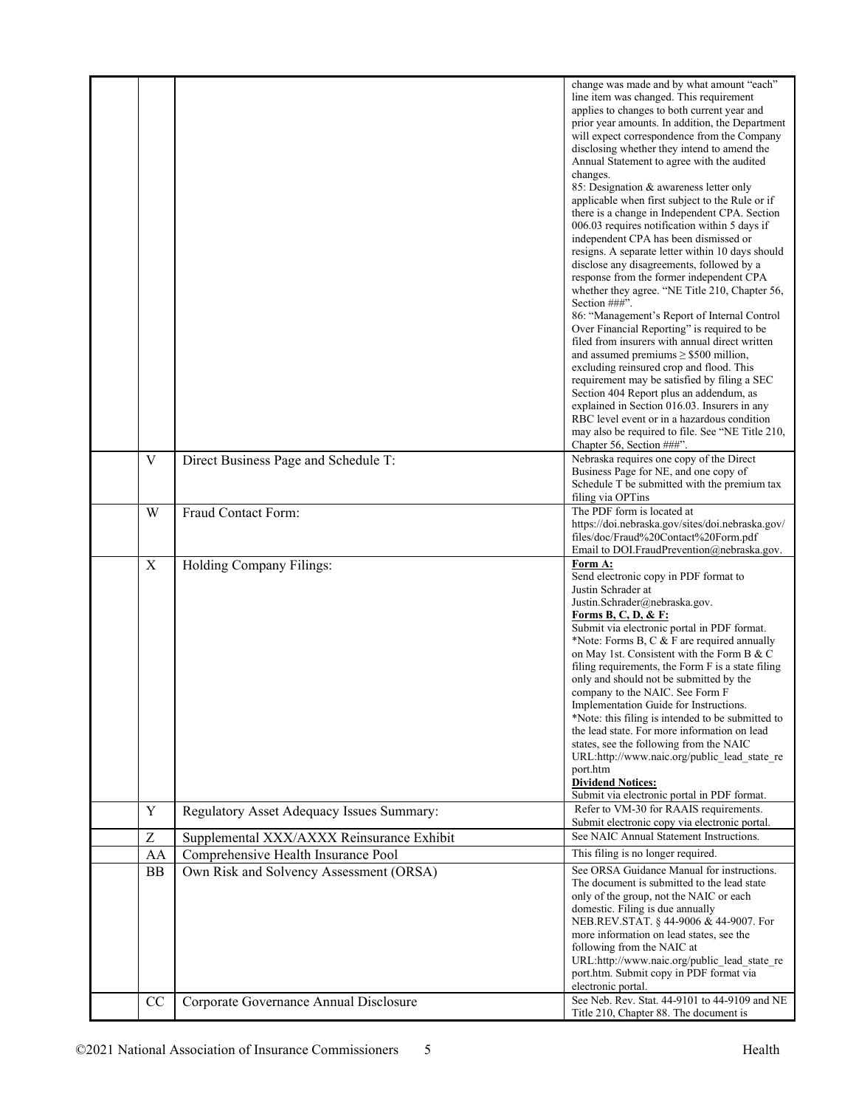|             |                                           | change was made and by what amount "each"<br>line item was changed. This requirement<br>applies to changes to both current year and |
|-------------|-------------------------------------------|-------------------------------------------------------------------------------------------------------------------------------------|
|             |                                           | prior year amounts. In addition, the Department                                                                                     |
|             |                                           | will expect correspondence from the Company                                                                                         |
|             |                                           | disclosing whether they intend to amend the<br>Annual Statement to agree with the audited                                           |
|             |                                           | changes.<br>85: Designation & awareness letter only                                                                                 |
|             |                                           | applicable when first subject to the Rule or if                                                                                     |
|             |                                           | there is a change in Independent CPA. Section                                                                                       |
|             |                                           | 006.03 requires notification within 5 days if<br>independent CPA has been dismissed or                                              |
|             |                                           | resigns. A separate letter within 10 days should                                                                                    |
|             |                                           | disclose any disagreements, followed by a<br>response from the former independent CPA                                               |
|             |                                           | whether they agree. "NE Title 210, Chapter 56,                                                                                      |
|             |                                           | Section ###".                                                                                                                       |
|             |                                           | 86: "Management's Report of Internal Control<br>Over Financial Reporting" is required to be                                         |
|             |                                           | filed from insurers with annual direct written                                                                                      |
|             |                                           | and assumed premiums $\geq$ \$500 million,                                                                                          |
|             |                                           | excluding reinsured crop and flood. This<br>requirement may be satisfied by filing a SEC                                            |
|             |                                           | Section 404 Report plus an addendum, as                                                                                             |
|             |                                           | explained in Section 016.03. Insurers in any<br>RBC level event or in a hazardous condition                                         |
|             |                                           | may also be required to file. See "NE Title 210,                                                                                    |
|             |                                           | Chapter 56, Section ###".                                                                                                           |
| V           | Direct Business Page and Schedule T:      | Nebraska requires one copy of the Direct<br>Business Page for NE, and one copy of                                                   |
|             |                                           | Schedule T be submitted with the premium tax                                                                                        |
| W           | Fraud Contact Form:                       | filing via OPTins<br>The PDF form is located at                                                                                     |
|             |                                           | https://doi.nebraska.gov/sites/doi.nebraska.gov/                                                                                    |
|             |                                           | files/doc/Fraud%20Contact%20Form.pdf                                                                                                |
| X           | Holding Company Filings:                  | Email to DOI.FraudPrevention@nebraska.gov.<br>Form A:                                                                               |
|             |                                           | Send electronic copy in PDF format to                                                                                               |
|             |                                           | Justin Schrader at<br>Justin.Schrader@nebraska.gov.                                                                                 |
|             |                                           | Forms B, C, D, & F:                                                                                                                 |
|             |                                           | Submit via electronic portal in PDF format.                                                                                         |
|             |                                           | *Note: Forms B, C & F are required annually<br>on May 1st. Consistent with the Form B & C                                           |
|             |                                           | filing requirements, the Form F is a state filing                                                                                   |
|             |                                           | only and should not be submitted by the<br>company to the NAIC. See Form F                                                          |
|             |                                           | Implementation Guide for Instructions.                                                                                              |
|             |                                           | *Note: this filing is intended to be submitted to                                                                                   |
|             |                                           | the lead state. For more information on lead<br>states, see the following from the NAIC                                             |
|             |                                           | URL:http://www.naic.org/public_lead_state_re                                                                                        |
|             |                                           | port.htm<br><b>Dividend Notices:</b>                                                                                                |
|             |                                           | Submit via electronic portal in PDF format.                                                                                         |
| $\mathbf Y$ | Regulatory Asset Adequacy Issues Summary: | Refer to VM-30 for RAAIS requirements.<br>Submit electronic copy via electronic portal.                                             |
| Z           | Supplemental XXX/AXXX Reinsurance Exhibit | See NAIC Annual Statement Instructions.                                                                                             |
| AA          | Comprehensive Health Insurance Pool       | This filing is no longer required.                                                                                                  |
| <b>BB</b>   | Own Risk and Solvency Assessment (ORSA)   | See ORSA Guidance Manual for instructions.<br>The document is submitted to the lead state                                           |
|             |                                           | only of the group, not the NAIC or each                                                                                             |
|             |                                           | domestic. Filing is due annually<br>NEB.REV.STAT. § 44-9006 & 44-9007. For                                                          |
|             |                                           | more information on lead states, see the                                                                                            |
|             |                                           | following from the NAIC at<br>URL:http://www.naic.org/public lead state re                                                          |
|             |                                           | port.htm. Submit copy in PDF format via                                                                                             |
|             |                                           | electronic portal.                                                                                                                  |
| CC          | Corporate Governance Annual Disclosure    | See Neb. Rev. Stat. 44-9101 to 44-9109 and NE<br>Title 210, Chapter 88. The document is                                             |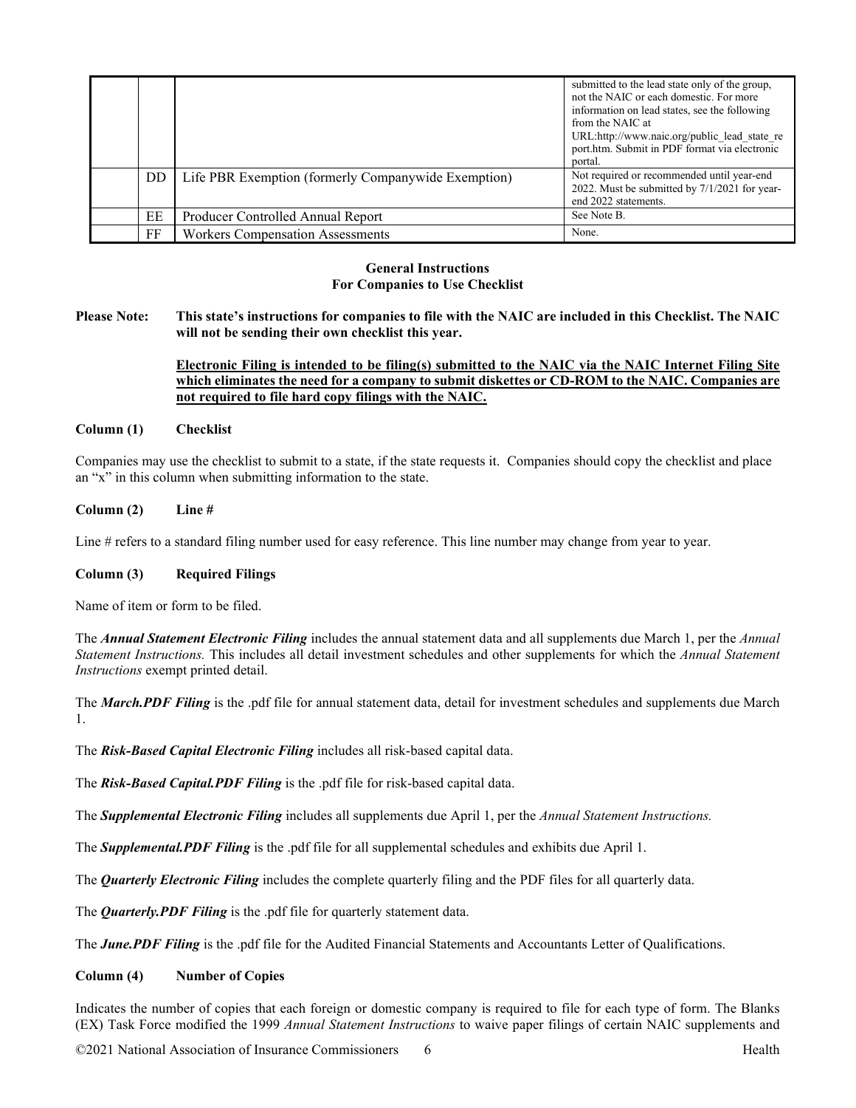|    |                                                     | submitted to the lead state only of the group,<br>not the NAIC or each domestic. For more<br>information on lead states, see the following<br>from the NAIC at<br>URL:http://www.naic.org/public lead state re<br>port.htm. Submit in PDF format via electronic<br>portal. |
|----|-----------------------------------------------------|----------------------------------------------------------------------------------------------------------------------------------------------------------------------------------------------------------------------------------------------------------------------------|
| DD | Life PBR Exemption (formerly Companywide Exemption) | Not required or recommended until year-end<br>2022. Must be submitted by 7/1/2021 for year-<br>end 2022 statements.                                                                                                                                                        |
| EE | Producer Controlled Annual Report                   | See Note B.                                                                                                                                                                                                                                                                |
| FF | <b>Workers Compensation Assessments</b>             | None.                                                                                                                                                                                                                                                                      |

## **General Instructions For Companies to Use Checklist**

**Please Note: This state's instructions for companies to file with the NAIC are included in this Checklist. The NAIC will not be sending their own checklist this year.** 

# **Electronic Filing is intended to be filing(s) submitted to the NAIC via the NAIC Internet Filing Site which eliminates the need for a company to submit diskettes or CD-ROM to the NAIC. Companies are not required to file hard copy filings with the NAIC.**

## **Column (1) Checklist**

Companies may use the checklist to submit to a state, if the state requests it. Companies should copy the checklist and place an "x" in this column when submitting information to the state.

## **Column (2) Line #**

Line # refers to a standard filing number used for easy reference. This line number may change from year to year.

#### **Column (3) Required Filings**

Name of item or form to be filed.

The *Annual Statement Electronic Filing* includes the annual statement data and all supplements due March 1, per the *Annual Statement Instructions.* This includes all detail investment schedules and other supplements for which the *Annual Statement Instructions* exempt printed detail.

The *March.PDF Filing* is the .pdf file for annual statement data, detail for investment schedules and supplements due March 1.

The *Risk-Based Capital Electronic Filing* includes all risk-based capital data.

The *Risk-Based Capital.PDF Filing* is the .pdf file for risk-based capital data.

The *Supplemental Electronic Filing* includes all supplements due April 1, per the *Annual Statement Instructions.* 

The *Supplemental.PDF Filing* is the .pdf file for all supplemental schedules and exhibits due April 1.

The *Quarterly Electronic Filing* includes the complete quarterly filing and the PDF files for all quarterly data.

The *Quarterly.PDF Filing* is the .pdf file for quarterly statement data.

The *June.PDF Filing* is the .pdf file for the Audited Financial Statements and Accountants Letter of Qualifications.

## **Column (4) Number of Copies**

Indicates the number of copies that each foreign or domestic company is required to file for each type of form. The Blanks (EX) Task Force modified the 1999 *Annual Statement Instructions* to waive paper filings of certain NAIC supplements and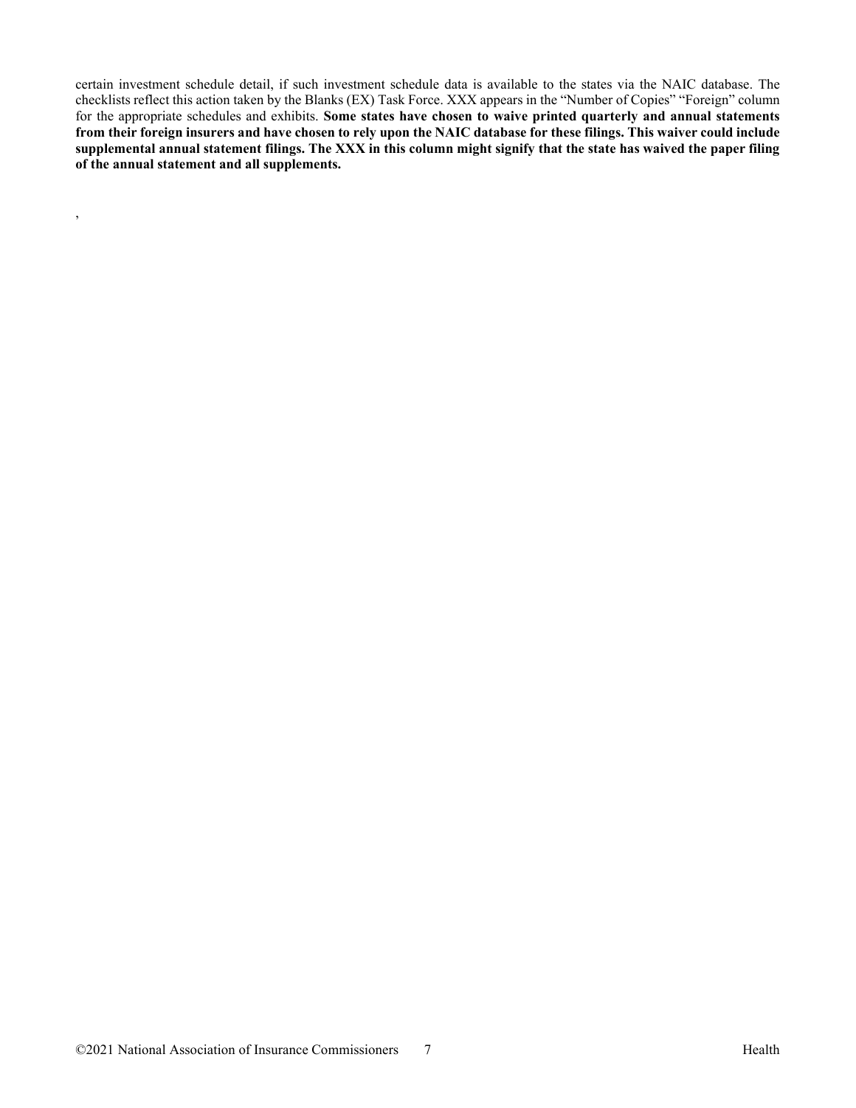certain investment schedule detail, if such investment schedule data is available to the states via the NAIC database. The checklists reflect this action taken by the Blanks (EX) Task Force. XXX appears in the "Number of Copies" "Foreign" column for the appropriate schedules and exhibits. **Some states have chosen to waive printed quarterly and annual statements from their foreign insurers and have chosen to rely upon the NAIC database for these filings. This waiver could include supplemental annual statement filings. The XXX in this column might signify that the state has waived the paper filing of the annual statement and all supplements.**

,